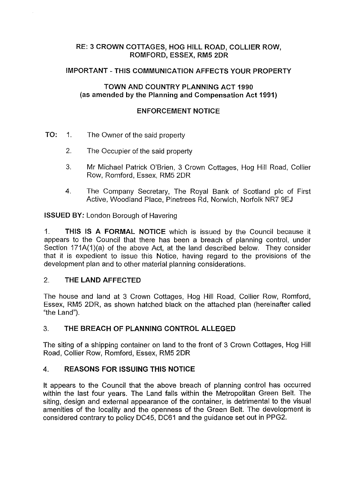## **RE: 3 CROWN COTTAGES, HOG HILL ROAD, COLLIER ROW, ROMFORD,ESSEX,RM52DR**

### **IMPORTANT -THIS COMMUNICATION AFFECTS YOUR PROPERTY**

## **TOWN AND COUNTRY PLANNING ACT 1990** (as **amended by the Planning and Compensation Act 1991)**

## **ENFORCEMENT NOTICE**

- **TO:** 1. The Owner of the said property
	- 2. The Occupier of the said property
	- 3. Mr Michael Patrick O'Brien, 3 Crown Cottages, Hog Hill Road, Collier Row, Romford, Essex, RM5 2DR
	- 4. The Company Secretary, The Royal Bank of Scotland pic of First Active, Woodland Place, Pinetrees Rd, Norwich, Norfolk NR7 9EJ

**ISSUED BY:** London Borough of Havering

1. **THIS IS A FORMAL NOTICE** which is issued by the Council because it appears to the Council that there has been a breach of planning control, under Section 171A(1)(a) of the above Act, at the land described below. They consider that it is expedient to issue this Notice, having regard to the provisions of the development plan and to other material planning considerations.

# 2. **THE LAND AFFECTED**

The house and land at 3 Crown Cottages, Hog Hill Road, Collier Row, Romford, Essex, RM5 2DR, as shown hatched black on the attached plan (hereinafter called "the Land").

### 3. **THE BREACH OF PLANNING CONTROL ALLEGED**

The siting of a shipping container on land to the front of 3 Crown Cottages, Hog Hill Road, Collier Row, Romford, Essex, RM5 2DR

# 4. **REASONS FOR ISSUING THIS NOTICE**

It appears to the Council that the above breach of planning control has occurred within the last four years. The Land falls within the Metropolitan Green Belt. The siting, design and external appearance of the container, is detrimental to the visual amenities of the locality and the openness of the Green Belt. The development is considered contrary to policy DC45, DC61 and the guidance set out in PPG2.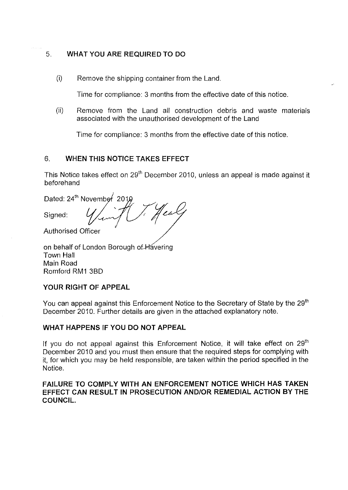# 5. **WHAT YOU ARE REQUIRED TO DO**

(i) Remove the shipping container from the Land.

Time for compliance: 3 months from the effective date of this notice.

(ii) Remove from the Land all construction debris and waste materials associated with the unauthorised development of the Land

Time for compliance: 3 months from the effective date of this notice.

# 6. **WHEN THIS NOTICE TAKES EFFECT**

This Notice takes effect on 29<sup>th</sup> December 2010, unless an appeal is made against it beforehand

'esk

Dated: 24th November 2018

Signed:

Authorised Officer

on behalf of London Borough of Havering Town Hall Main Road Romford RM1 3BD

# **YOUR RIGHT OF APPEAL**

You can appeal against this Enforcement Notice to the Secretary of State by the 29<sup>th</sup> December 2010. Further details are given in the attached explanatory note.

# **WHAT HAPPENS IF YOU DO NOT APPEAL**

If you do not appeal against this Enforcement Notice, it will take effect on  $29<sup>th</sup>$ December 2010 and you must then ensure that the required steps for complying with it, for which you may be held responsible, are taken within the period specified in the Notice.

### **FAILURE TO COMPLY WITH AN ENFORCEMENT NOTICE WHICH HAS TAKEN EFFECT CAN RESULT IN PROSECUTION AND/OR REMEDIAL ACTION BY THE COUNCIL.**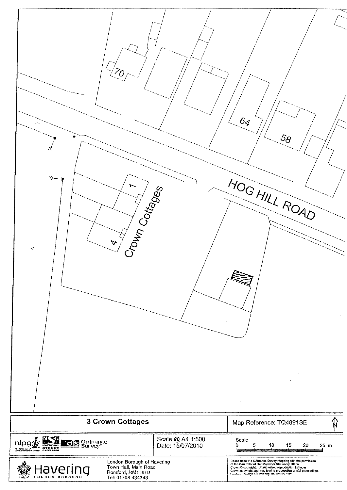| $\sim 100$ m<br>⊁<br>Crown Cottages<br>$\Delta$<br>$\sim$ $\lambda$                                                                                                       |                                      | 6 <sub>4</sub><br>$\mathcal{S}_{\mathcal{S}}$<br>HOG HILL ROAD                                                                                                                                                                                                                                                                                               |
|---------------------------------------------------------------------------------------------------------------------------------------------------------------------------|--------------------------------------|--------------------------------------------------------------------------------------------------------------------------------------------------------------------------------------------------------------------------------------------------------------------------------------------------------------------------------------------------------------|
| 3 Crown Cottages                                                                                                                                                          |                                      | Map Reference: TQ4891SE                                                                                                                                                                                                                                                                                                                                      |
| nipg & ENG<br><b>LOB</b> Ordnance<br>London Borough of Havering<br>Town Hall, Main Road<br>lavering<br>Romford, RM1 3BD<br>LONDON BOROUGH<br>stants.<br>Tel: 01708 434343 | Scale @ A4 1:500<br>Date: 15/07/2010 | Scale<br>5<br>$10\,$<br>15<br>$20\,$<br>$25$ m<br>Λ<br>Based upon the Ordnance Survey Mapping with the permission<br>exase upon the Controller of Her Majosty's Stationery Pittine Permission<br>of the Controller of Her Majosty's Stationery Office.<br>Crown © copyright, Unauthorised reproduction incringes<br>Crown © copyright and may tead to procee |

j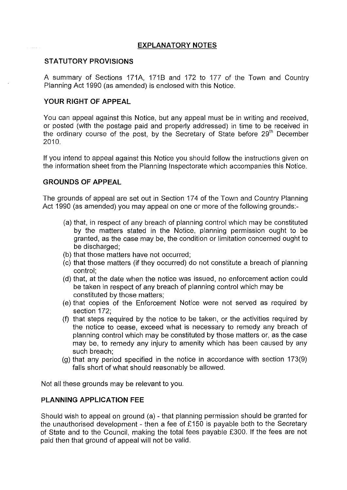## **EXPLANATORY NOTES**

### **STATUTORY PROVISIONS**

A summary of Sections 171A, 1718 and 172 to 177 of the Town and Country Planning Act 1990 (as amended) is enclosed with this Notice.

#### **YOUR RIGHT OF APPEAL**

You can appeal against this Notice, but any appeal must be in writing and received, or posted (with the postage paid and properly addressed) in time to be received in the ordinary course of the post, by the Secretary of State before  $29<sup>th</sup>$  December 2010.

If you intend to appeal against this Notice you should follow the instructions given on the information sheet from the Planning Inspectorate which accompanies this Notice.

#### **GROUNDS OF APPEAL**

The grounds of appeal are set out in Section 174 of the Town and Country Planning Act 1990 (as amended) you may appeal on one or more of the following grounds:-

- (a) that, in respect of any breach of planning control which may be constituted by the matters stated in the Notice, planning permission ought to be granted, as the case may be, the condition or limitation concerned ought to be discharged;
- (b) that those matters have not occurred;
- (c) that those matters (if they occurred) do not constitute a breach of planning control;
- (d) that, at the date when the notice was issued, no enforcement action could be taken in respect of any breach of planning control which may be constituted by those matters;
- (e) that copies of the Enforcement Notice were not served as required by section 172;
- (f) that steps required by the notice to be taken, or the activities required by the notice to cease, exceed what is necessary to remedy any breach of planning control which may be constituted by those matters or, as the case may be, to remedy any injury to amenity which has been caused by any such breach;
- (g) that any period specified in the notice in accordance with section  $173(9)$ falls short of what should reasonably be allowed.

Not all these grounds may be relevant to you.

#### **PLANNING APPLICATION FEE**

Should wish to appeal on ground (a) - that planning permission should be granted for the unauthorised development - then a fee of £150 is payable both to the Secretary of State and to the Council, making the total fees payable £300. If the fees are not paid then that ground of appeal will not be valid.